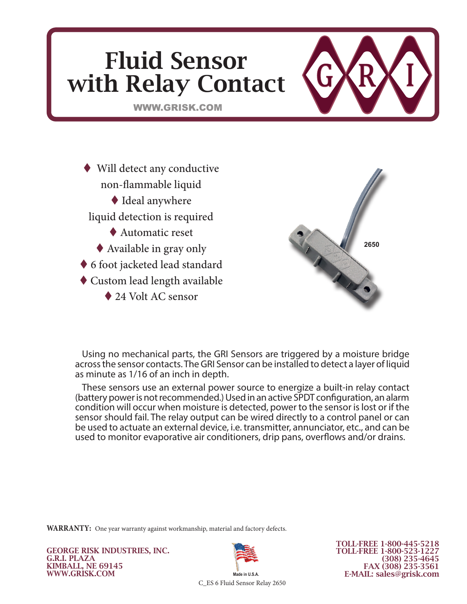

 Will detect any conductive non-flammable liquid Ideal anywhere liquid detection is required Automatic reset Available in gray only ◆ 6 foot jacketed lead standard Custom lead length available

◆ 24 Volt AC sensor



Using no mechanical parts, the GRI Sensors are triggered by a moisture bridge across the sensor contacts. The GRI Sensor can be installed to detect a layer of liquid as minute as 1/16 of an inch in depth.

These sensors use an external power source to energize a built-in relay contact (battery power is not recommended.) Used in an active SPDT configuration, an alarm condition will occur when moisture is detected, power to the sensor is lost or if the sensor should fail. The relay output can be wired directly to a control panel or can be used to actuate an external device, i.e. transmitter, annunciator, etc., and can be used to monitor evaporative air conditioners, drip pans, overflows and/or drains.

**WARRANTY:** One year warranty against workmanship, material and factory defects.

GEORGE RISK INDUSTRIES, INC. G.R.I. PLAZA KIMBALL, NE 69145 WWW.GRISK.COM



TOLL-FREE 1-800-445-5218 TOLL-FREE 1-800-523-1227 (308) 235-4645 FAX (308) 235-3561 E-MAIL: sales@grisk.com

C\_ES 6 Fluid Sensor Relay 2650